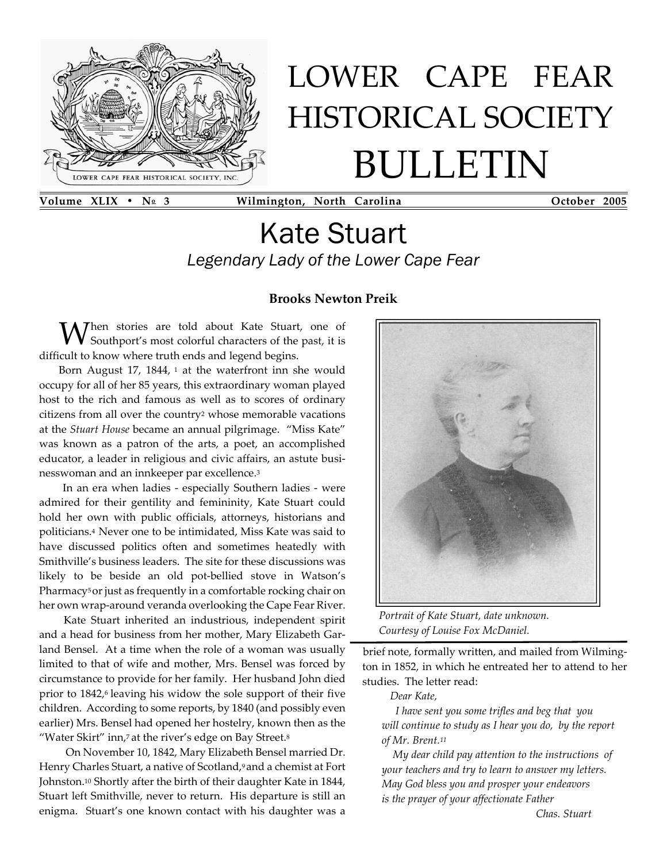

# LOWER CAPE FEAR HISTORICAL SOCIETY BULLETIN

**Volume XLIX • No 3 Wilmington, North Carolina October 2005**

# Kate Stuart *Legendary Lady of the Lower Cape Fear*

### **Brooks Newton Preik**

Mhen stories are told about Kate Stuart, one of Southport's most colorful characters of the past, it is difficult to know where truth ends and legend begins.

Born August 17, 1844, <sup>1</sup> at the waterfront inn she would occupy for all of her 85 years, this extraordinary woman played host to the rich and famous as well as to scores of ordinary citizens from all over the country2 whose memorable vacations at the*Stuart House* became an annual pilgrimage. "Miss Kate" was known as a patron of the arts, a poet, an accomplished educator, a leader in religious and civic affairs, an astute busi nesswoman and an innkeeper par excellence.3

 In an era when ladies - especially Southern ladies - were admired for their gentility and femininity, Kate Stuart could hold her own with public officials, attorneys, historians and politicians.4Never one to be intimidated, Miss Kate was said to have discussed politics often and sometimes heatedly with Smithville's business leaders. The site for these discussions was likely to be beside an old pot-bellied stove in Watson's Pharmacy<sup>5</sup> or just as frequently in a comfortable rocking chair on her own wrap-around veranda overlooking the Cape Fear River.

 Kate Stuart inherited an industrious, independent spirit and a head for business from her mother, Mary Elizabeth Gar land Bensel. At a time when the role of a woman was usually limited to that of wife and mother, Mrs. Bensel was forced by circumstance to provide for her family. Her husband John died prior to 1842,<sup>6</sup> leaving his widow the sole support of their five children. According to some reports, by 1840 (and possibly even earlier) Mrs. Bensel had opened her hostelry, known then as the "Water Skirt" inn,7at the river's edge on Bay Street.8

 On November 10, 1842, Mary Elizabeth Bensel married Dr. Henry Charles Stuart, a native of Scotland,9and a chemist at Fort Johnston.<sup>10</sup> Shortly after the birth of their daughter Kate in 1844, Stuart left Smithville, never to return. His departure is still an enigma. Stuart's one known contact with his daughter was a



*Portrait of Kate Stuart, date unknown. Courtesy of Louise Fox McDaniel.*

brief note, formally written, and mailed from Wilming ton in 1852, in which he entreated her to attend to her studies. The letter read:

*Dear Kate,*

 *I have sent you some trifles and beg that you will continue to study as I hear you do, by the report of Mr. Brent.11*

 *My dear child pay attention to the instructions of your teachers and try to learn to answer my letters. May God bless you and prosper your endeavors is the prayer of your affectionate Father*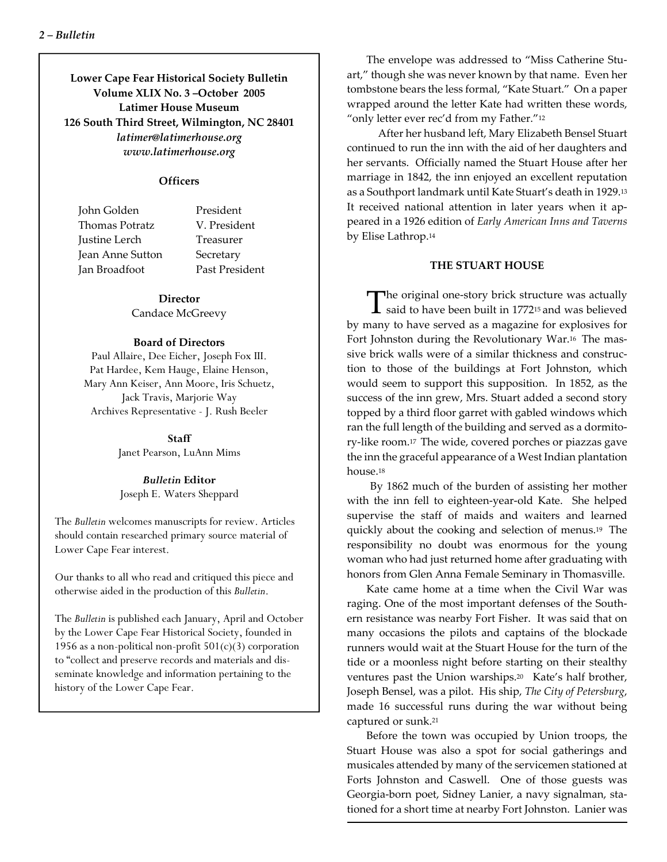**Lower Cape Fear Historical Society Bulletin Volume XLIX No. 3 –October 2005 Latimer House Museum 126 South Third Street, Wilmington, NC 28401** *latimer@latimerhouse.org www.latimerhouse.org*

#### **Officers**

 John Golden President Thomas Potratz V. President Justine Lerch Treasurer Jean Anne Sutton Secretary Jan Broadfoot Past President

#### **Director**

Candace McGreevy

#### **Board of Directors**

Paul Allaire, Dee Eicher, Joseph Fox III. Pat Hardee, Kem Hauge, Elaine Henson, Mary Ann Keiser, Ann Moore, Iris Schuetz, Jack Travis, Marjorie Way Archives Representative - J. Rush Beeler

> **Staff** Janet Pearson, LuAnn Mims

#### *Bulletin* **Editor** Joseph E. Waters Sheppard

The*Bulletin* welcomes manuscripts for review. Articles should contain researched primary source material of Lower Cape Fear interest.

Our thanks to all who read and critiqued this piece and otherwise aided in the production of this*Bulletin*.

The*Bulletin* is published each January, April and October by the Lower Cape Fear Historical Society, founded in 1956 as a non-political non-profit  $501(c)(3)$  corporation to "collect and preserve records and materials and dis seminate knowledge and information pertaining to the history of the Lower Cape Fear.

The envelope was addressed to "Miss Catherine Stu art," though she was never known by that name. Even her tombstone bears the less formal, "Kate Stuart." On a paper wrapped around the letter Kate had written these words, "only letter ever rec'd from my Father."<sup>12</sup>

 After her husband left, Mary Elizabeth Bensel Stuart continued to run the inn with the aid of her daughters and her servants. Officially named the Stuart House after her marriage in 1842, the inn enjoyed an excellent reputation as a Southport landmark until Kate Stuart's death in 1929.13 It received national attention in later years when it ap peared in a 1926 edition of*Early American Inns and Taverns* by Elise Lathrop.14

#### **THE STUART HOUSE**

The original one-story brick structure was actually<br>said to have been built in 1772<sup>15</sup> and was believed by many to have served as a magazine for explosives for Fort Johnston during the Revolutionary War.16 The mas sive brick walls were of a similar thickness and construc tion to those of the buildings at Fort Johnston, which would seem to support this supposition. In 1852, as the success of the inn grew, Mrs. Stuart added a second story topped by a third floor garret with gabled windows which ran the full length of the building and served as a dormito ry-like room.17 The wide, covered porches or piazzas gave the inn the graceful appearance of a West Indian plantation house.18

 By 1862 much of the burden of assisting her mother with the inn fell to eighteen-year-old Kate. She helped supervise the staff of maids and waiters and learned quickly about the cooking and selection of menus.19 The responsibility no doubt was enormous for the young woman who had just returned home after graduating with honors from Glen Anna Female Seminary in Thomasville.

Kate came home at a time when the Civil War was raging. One of the most important defenses of the South ern resistance was nearby Fort Fisher. It was said that on many occasions the pilots and captains of the blockade runners would wait at the Stuart House for the turn of the tide or a moonless night before starting on their stealthy ventures past the Union warships.20 Kate's half brother, Joseph Bensel, was a pilot. His ship,*The City of Petersburg*, made 16 successful runs during the war without being captured or sunk.21

Before the town was occupied by Union troops, the Stuart House was also a spot for social gatherings and musicales attended by many of the servicemen stationed at Forts Johnston and Caswell. One of those guests was Georgia-born poet, Sidney Lanier, a navy signalman, sta tioned for a short time at nearby Fort Johnston. Lanier was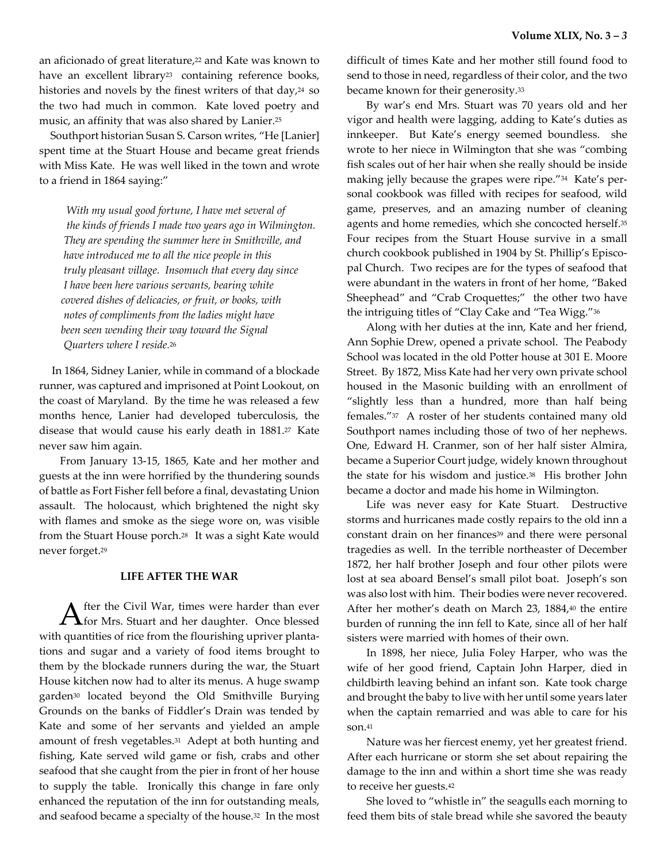an aficionado of great literature,<sup>22</sup> and Kate was known to have an excellent library<sup>23</sup> containing reference books, histories and novels by the finest writers of that day,<sup>24</sup> so the two had much in common. Kate loved poetry and music, an affinity that was also shared by Lanier.25

 Southport historian Susan S. Carson writes, "He [Lanier] spent time at the Stuart House and became great friends with Miss Kate. He was well liked in the town and wrote to a friend in 1864 saying:"

 *With my usual good fortune, I have met several of the kinds of friends I made two years ago in Wilmington. They are spending the summer here in Smithville, and have introduced me to all the nice people in this truly pleasant village. Insomuch that every day since I have been here various servants, bearing white covered dishes of delicacies, or fruit, or books, with notes of compliments from the ladies might have been seen wending their way toward the Signal Quarters where I reside.*26

 In 1864, Sidney Lanier, while in command of a blockade runner, was captured and imprisoned at Point Lookout, on the coast of Maryland. By the time he was released a few months hence, Lanier had developed tuberculosis, the disease that would cause his early death in 1881.27 Kate never saw him again.

 From January 13-15, 1865, Kate and her mother and guests at the inn were horrified by the thundering sounds of battle as Fort Fisher fell before a final, devastating Union assault. The holocaust, which brightened the night sky with flames and smoke as the siege wore on, was visible from the Stuart House porch.28 It was a sight Kate would never forget.29

#### **LIFE AFTER THE WAR**

After the Civil War, times were harder than ever<br>for Mrs. Stuart and her daughter. Once blessed with quantities of rice from the flourishing upriver planta tions and sugar and a variety of food items brought to them by the blockade runners during the war, the Stuart House kitchen now had to alter its menus. A huge swamp garden30 located beyond the Old Smithville Burying Grounds on the banks of Fiddler's Drain was tended by Kate and some of her servants and yielded an ample amount of fresh vegetables.31 Adept at both hunting and fishing, Kate served wild game or fish, crabs and other seafood that she caught from the pier in front of her house to supply the table. Ironically this change in fare only enhanced the reputation of the inn for outstanding meals, and seafood became a specialty of the house.32 In the most

difficult of times Kate and her mother still found food to send to those in need, regardless of their color, and the two became known for their generosity.33

By war's end Mrs. Stuart was 70 years old and her vigor and health were lagging, adding to Kate's duties as innkeeper. But Kate's energy seemed boundless. she wrote to her niece in Wilmington that she was "combing fish scales out of her hair when she really should be inside making jelly because the grapes were ripe."34 Kate's per sonal cookbook was filled with recipes for seafood, wild game, preserves, and an amazing number of cleaning agents and home remedies, which she concocted herself.35 Four recipes from the Stuart House survive in a small church cookbook published in 1904 by St. Phillip's Episco pal Church. Two recipes are for the types of seafood that were abundant in the waters in front of her home, "Baked Sheephead" and "Crab Croquettes;" the other two have the intriguing titles of "Clay Cake and "Tea Wigg."36

Along with her duties at the inn, Kate and her friend, Ann Sophie Drew, opened a private school. The Peabody School was located in the old Potter house at 301 E. Moore Street. By 1872, Miss Kate had her very own private school housed in the Masonic building with an enrollment of "slightly less than a hundred, more than half being females."37 A roster of her students contained many old Southport names including those of two of her nephews. One, Edward H. Cranmer, son of her half sister Almira, became a Superior Court judge, widely known throughout the state for his wisdom and justice.38 His brother John became a doctor and made his home in Wilmington.

Life was never easy for Kate Stuart. Destructive storms and hurricanes made costly repairs to the old inn a constant drain on her finances<sup>39</sup> and there were personal tragedies as well. In the terrible northeaster of December 1872, her half brother Joseph and four other pilots were lost at sea aboard Bensel's small pilot boat. Joseph's son was also lost with him. Their bodies were never recovered. After her mother's death on March 23, 1884,40 the entire burden of running the inn fell to Kate, since all of her half sisters were married with homes of their own.

In 1898, her niece, Julia Foley Harper, who was the wife of her good friend, Captain John Harper, died in childbirth leaving behind an infant son. Kate took charge and brought the baby to live with her until some years later when the captain remarried and was able to care for his son.41

Nature was her fiercest enemy, yet her greatest friend. After each hurricane or storm she set about repairing the damage to the inn and within a short time she was ready to receive her guests.42

She loved to "whistle in" the seagulls each morning to feed them bits of stale bread while she savored the beauty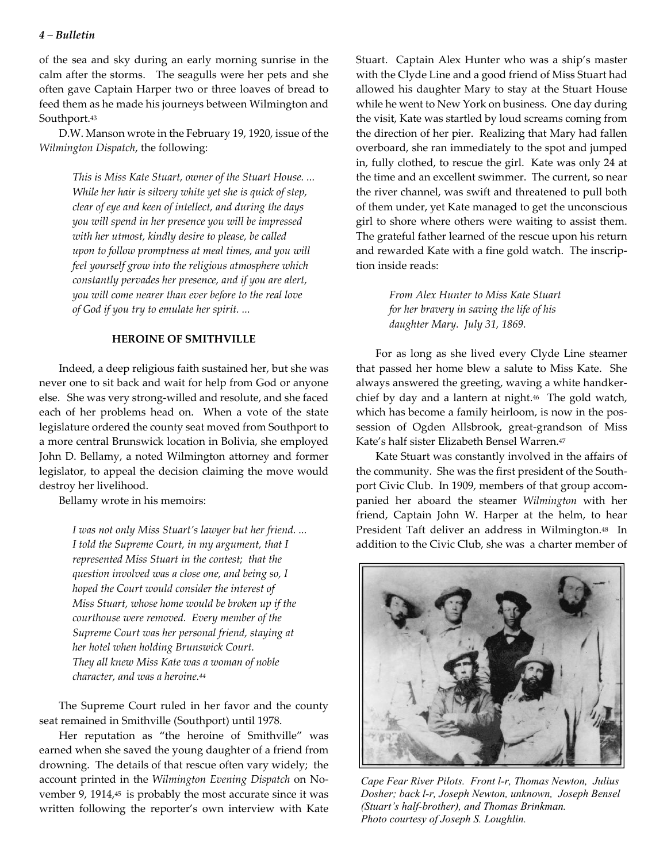#### *4 – Bulletin*

of the sea and sky during an early morning sunrise in the calm after the storms. The seagulls were her pets and she often gave Captain Harper two or three loaves of bread to feed them as he made his journeys between Wilmington and Southport.43

D.W. Manson wrote in the February 19, 1920, issue of the *Wilmington Dispatch*, the following:

> *This is Miss Kate Stuart, owner of the Stuart House. ... While her hair is silvery white yet she is quick of step, clear of eye and keen of intellect, and during the days you will spend in her presence you will be impressed with her utmost, kindly desire to please, be called upon to follow promptness at meal times, and you will feel yourself grow into the religious atmosphere which constantly pervades her presence, and if you are alert, you will come nearer than ever before to the real love of God if you try to emulate her spirit. ...*

#### **HEROINE OF SMITHVILLE**

Indeed, a deep religious faith sustained her, but she was never one to sit back and wait for help from God or anyone else. She was very strong-willed and resolute, and she faced each of her problems head on. When a vote of the state legislature ordered the county seat moved from Southport to a more central Brunswick location in Bolivia, she employed John D. Bellamy, a noted Wilmington attorney and former legislator, to appeal the decision claiming the move would destroy her livelihood.

Bellamy wrote in his memoirs:

*I was not only Miss Stuart's lawyer but her friend. ... I told the Supreme Court, in my argument, that I represented Miss Stuart in the contest; that the question involved was a close one, and being so, I hoped the Court would consider the interest of Miss Stuart, whose home would be broken up if the courthouse were removed. Every member of the Supreme Court was her personal friend, staying at her hotel when holding Brunswick Court. They all knew Miss Kate was a woman of noble character, and was a heroine.44*

The Supreme Court ruled in her favor and the county seat remained in Smithville (Southport) until 1978.

Her reputation as "the heroine of Smithville" was earned when she saved the young daughter of a friend from drowning. The details of that rescue often vary widely; the account printed in the*Wilmington Evening Dispatch* on No vember 9, 1914,<sup>45</sup> is probably the most accurate since it was written following the reporter's own interview with Kate

Stuart. Captain Alex Hunter who was a ship's master with the Clyde Line and a good friend of Miss Stuart had allowed his daughter Mary to stay at the Stuart House while he went to New York on business. One day during the visit, Kate was startled by loud screams coming from the direction of her pier. Realizing that Mary had fallen overboard, she ran immediately to the spot and jumped in, fully clothed, to rescue the girl. Kate was only 24 at the time and an excellent swimmer. The current, so near the river channel, was swift and threatened to pull both of them under, yet Kate managed to get the unconscious girl to shore where others were waiting to assist them. The grateful father learned of the rescue upon his return and rewarded Kate with a fine gold watch. The inscrip tion inside reads:

> *From Alex Hunter to Miss Kate Stuart for her bravery in saving the life of his daughter Mary. July 31, 1869.*

For as long as she lived every Clyde Line steamer that passed her home blew a salute to Miss Kate. She always answered the greeting, waving a white handker chief by day and a lantern at night.46 The gold watch, which has become a family heirloom, is now in the pos session of Ogden Allsbrook, great-grandson of Miss Kate's half sister Elizabeth Bensel Warren.47

Kate Stuart was constantly involved in the affairs of the community. She was the first president of the South port Civic Club. In 1909, members of that group accom panied her aboard the steamer*Wilmington* with her friend, Captain John W. Harper at the helm, to hear President Taft deliver an address in Wilmington.48 In addition to the Civic Club, she was a charter member of



*Cape Fear River Pilots. Front l-r, Thomas Newton, Julius Dosher; back l-r, Joseph Newton, unknown, Joseph Bensel (Stuart's half-brother), and Thomas Brinkman. Photo courtesy of Joseph S. Loughlin.*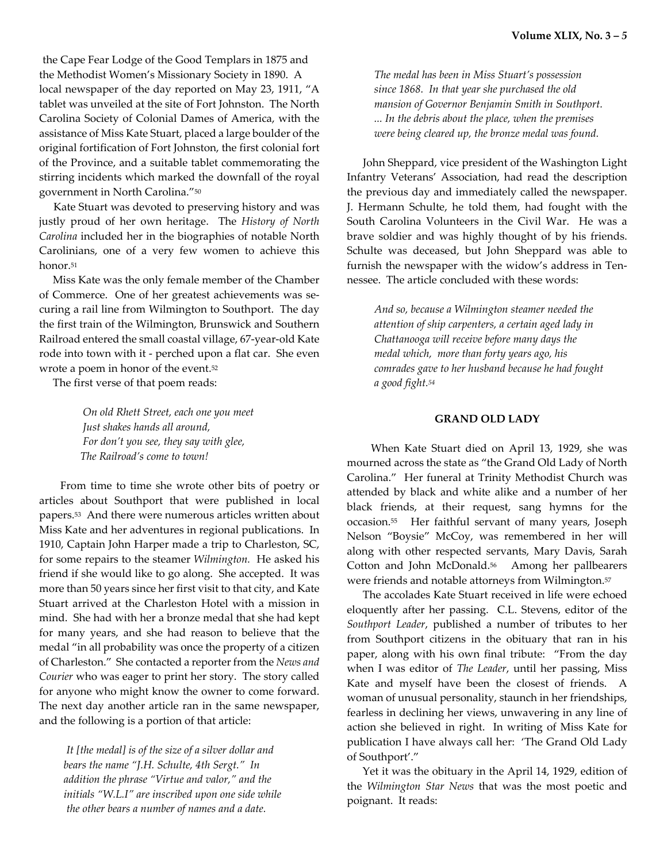the Cape Fear Lodge of the Good Templars in 1875 and the Methodist Women's Missionary Society in 1890. A local newspaper of the day reported on May 23, 1911, "A tablet was unveiled at the site of Fort Johnston. The North Carolina Society of Colonial Dames of America, with the assistance of Miss Kate Stuart, placed a large boulder of the original fortification of Fort Johnston, the first colonial fort of the Province, and a suitable tablet commemorating the stirring incidents which marked the downfall of the royal government in North Carolina."50

 Kate Stuart was devoted to preserving history and was justly proud of her own heritage. The*History of North Carolina* included her in the biographies of notable North Carolinians, one of a very few women to achieve this honor.51

 Miss Kate was the only female member of the Chamber of Commerce. One of her greatest achievements was se curing a rail line from Wilmington to Southport. The day the first train of the Wilmington, Brunswick and Southern Railroad entered the small coastal village, 67-year-old Kate rode into town with it - perched upon a flat car. She even wrote a poem in honor of the event.52

The first verse of that poem reads:

 *On old Rhett Street, each one you meet Just shakes hands all around, For don't you see, they say with glee, The Railroad's come to town!*

 From time to time she wrote other bits of poetry or articles about Southport that were published in local papers.53 And there were numerous articles written about Miss Kate and her adventures in regional publications. In 1910, Captain John Harper made a trip to Charleston, SC, for some repairs to the steamer*Wilmington.* He asked his friend if she would like to go along. She accepted. It was more than 50 years since her first visit to that city, and Kate Stuart arrived at the Charleston Hotel with a mission in mind. She had with her a bronze medal that she had kept for many years, and she had reason to believe that the medal "in all probability was once the property of a citizen of Charleston." She contacted a reporter from the*News and Courier* who was eager to print her story. The story called for anyone who might know the owner to come forward. The next day another article ran in the same newspaper, and the following is a portion of that article:

*It [the medal] is of the size of a silver dollar and bears the name "J.H. Schulte, 4th Sergt." In addition the phrase "Virtue and valor," and the initials "W.L.I" are inscribed upon one side while the other bears a number of names and a date.*

 *The medal has been in Miss Stuart's possession since 1868. In that year she purchased the old mansion of Governor Benjamin Smith in Southport. ... In the debris about the place, when the premises were being cleared up, the bronze medal was found.*

 John Sheppard, vice president of the Washington Light Infantry Veterans' Association, had read the description the previous day and immediately called the newspaper. J. Hermann Schulte, he told them, had fought with the South Carolina Volunteers in the Civil War. He was a brave soldier and was highly thought of by his friends. Schulte was deceased, but John Sheppard was able to furnish the newspaper with the widow's address in Ten nessee. The article concluded with these words:

 *And so, because a Wilmington steamer needed the attention of ship carpenters, a certain aged lady in Chattanooga will receive before many days the medal which, more than forty years ago, his comrades gave to her husband because he had fought a good fight.54*

#### **GRAND OLD LADY**

When Kate Stuart died on April 13, 1929, she was mourned across the state as "the Grand Old Lady of North Carolina." Her funeral at Trinity Methodist Church was attended by black and white alike and a number of her black friends, at their request, sang hymns for the occasion.55 Her faithful servant of many years, Joseph Nelson "Boysie" McCoy, was remembered in her will along with other respected servants, Mary Davis, Sarah Cotton and John McDonald.56 Among her pallbearers were friends and notable attorneys from Wilmington.57

 The accolades Kate Stuart received in life were echoed eloquently after her passing. C.L. Stevens, editor of the *Southport Leader*, published a number of tributes to her from Southport citizens in the obituary that ran in his paper, along with his own final tribute: "From the day when I was editor of*The Leader*, until her passing, Miss Kate and myself have been the closest of friends. A woman of unusual personality, staunch in her friendships, fearless in declining her views, unwavering in any line of action she believed in right. In writing of Miss Kate for publication I have always call her: 'The Grand Old Lady of Southport'."

 Yet it was the obituary in the April 14, 1929, edition of the*Wilmington Star News* that was the most poetic and poignant. It reads: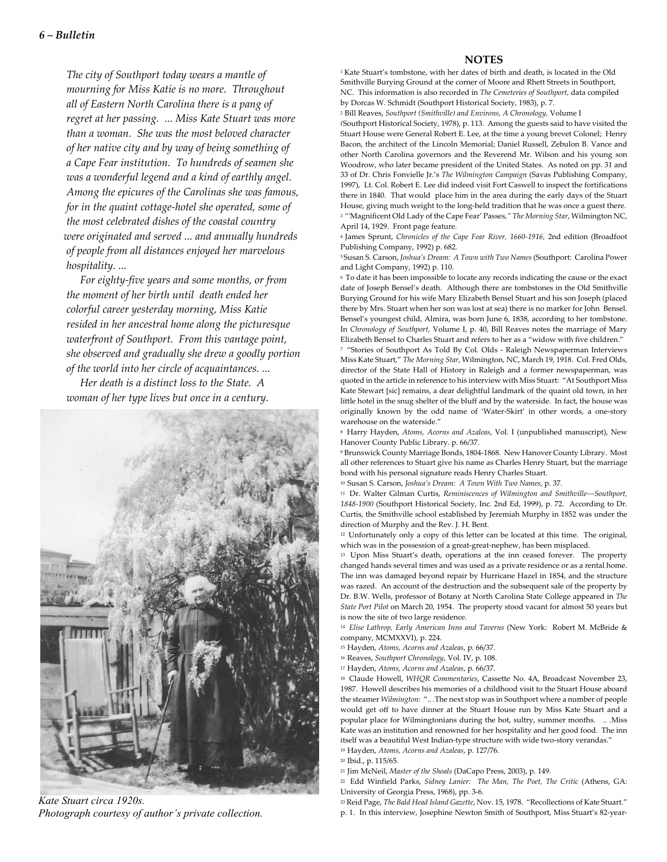#### *6 – Bulletin*

*The city of Southport today wears a mantle of mourning for Miss Katie is no more. Throughout all of Eastern North Carolina there is a pang of regret at her passing. ... Miss Kate Stuart was more than a woman. She was the most beloved character of her native city and by way of being something of a Cape Fear institution. To hundreds of seamen she was a wonderful legend and a kind of earthly angel. Among the epicures of the Carolinas she was famous, for in the quaint cottage-hotel she operated, some of the most celebrated dishes of the coastal country were originated and served ... and annually hundreds of people from all distances enjoyed her marvelous hospitality. ...*

 *For eighty-five years and some months, or from the moment of her birth until death ended her colorful career yesterday morning, Miss Katie resided in her ancestral home along the picturesque waterfront of Southport. From this vantage point, she observed and gradually she drew a goodly portion of the world into her circle of acquaintances. ...*

 *Her death is a distinct loss to the State. A woman of her type lives but once in a century.*



*Kate Stuart circa 1920s. Photograph courtesy of author's private collection.*

#### **NOTES**

1Kate Stuart's tombstone, with her dates of birth and death, is located in the Old Smithville Burying Ground at the corner of Moore and Rhett Streets in Southport, NC. This information is also recorded in*The Cemeteries of Southport,*data compiled by Dorcas W. Schmidt (Southport Historical Society, 1983), p. 7.

2 Bill Reaves,*Southport (Smithville) and Environs, A Chronology,* Volume I

*(*Southport Historical Society, 1978), p. 113. Among the guests said to have visited the Stuart House were General Robert E. Lee, at the time a young brevet Colonel; Henry Bacon, the architect of the Lincoln Memorial; Daniel Russell, Zebulon B. Vance and other North Carolina governors and the Reverend Mr. Wilson and his young son Woodrow, who later became president of the United States. As noted on pp. 31 and 33 of Dr. Chris Fonvielle Jr.'s*The Wilmington Campaign* (Savas Publishing Company, 1997), Lt. Col. Robert E. Lee did indeed visit Fort Caswell to inspect the fortifications there in 1840. That would place him in the area during the early days of the Stuart House, giving much weight to the long-held tradition that he was once a guest there. *3 "'*Magnificent Old Lady of the Cape Fear' Passes*," The Morning Star*, Wilmington NC, April 14, 1929. Front page feature.

4James Sprunt,*Chronicles of the Cape Fear River, 1660-1916,* 2nd edition (Broadfoot Publishing Company, 1992) p. 682.

5Susan S. Carson,*Joshua's Dream: A Town with Two Names* (Southport: Carolina Power and Light Company, 1992) p. 110.

6 To date it has been impossible to locate any records indicating the cause or the exact date of Joseph Bensel's death. Although there are tombstones in the Old Smithville Burying Ground for his wife Mary Elizabeth Bensel Stuart and his son Joseph (placed there by Mrs. Stuart when her son was lost at sea) there is no marker for John Bensel. Bensel's youngest child, Almira, was born June 6, 1838, according to her tombstone. In*Chronology of Southport,* Volume I, p. 40, Bill Reaves notes the marriage of Mary Elizabeth Bensel to Charles Stuart and refers to her as a "widow with five children." 7 "Stories of Southport As Told By Col. Olds - Raleigh Newspaperman Interviews Miss Kate Stuart,"*The Morning Star*, Wilmington, NC, March 19, 1918. Col. Fred Olds, director of the State Hall of History in Raleigh and a former newspaperman, was quoted in the article in reference to his interview with Miss Stuart: "At Southport Miss Kate Stewart [sic] remains, a dear delightful landmark of the quaint old town, in her little hotel in the snug shelter of the bluff and by the waterside. In fact, the house was originally known by the odd name of 'Water-Skirt' in other words, a one-story warehouse on the waterside."

8 Harry Hayden,*Atoms, Acorns and Azaleas*, Vol. I (unpublished manuscript), New Hanover County Public Library. p. 66/37.

9Brunswick County Marriage Bonds, 1804-1868. New Hanover County Library. Most all other references to Stuart give his name as Charles Henry Stuart, but the marriage bond with his personal signature reads Henry Charles Stuart.

10Susan S. Carson,*Joshua's Dream: A Town With Two Names*, p. 37.

11 Dr. Walter Gilman Curtis,*Reminiscences of Wilmington and Smithville---Southport, 1848-1900* (Southport Historical Society, Inc. 2nd Ed, 1999), p. 72. According to Dr. Curtis, the Smithville school established by Jeremiah Murphy in 1852 was under the direction of Murphy and the Rev. J. H. Bent.

12 Unfortunately only a copy of this letter can be located at this time. The original, which was in the possession of a great-great-nephew, has been misplaced.

13 Upon Miss Stuart's death, operations at the inn ceased forever. The property changed hands several times and was used as a private residence or as a rental home. The inn was damaged beyond repair by Hurricane Hazel in 1854, and the structure was razed. An account of the destruction and the subsequent sale of the property by Dr. B.W. Wells, professor of Botany at North Carolina State College appeared in*The State Port Pilot* on March 20, 1954. The property stood vacant for almost 50 years but is now the site of two large residence.

1*4Elise Lathrop, Early American Inns and Taverns*(New York: Robert M. McBride & company, MCMXXVI), p. 224.

15Hayden,*Atoms, Acorns and Azaleas*, p. 66/37.

16Reaves,*Southport Chronology*, Vol. IV, p. 108.

17Hayden,*Atoms, Acorns and Azaleas*, p. 66/37.

18 Claude Howell,*WHQR Commentaries*, Cassette No. 4A, Broadcast November 23, 1987. Howell describes his memories of a childhood visit to the Stuart House aboard the steamer*Wilmington*: ".. .The next stop was in Southport where a number of people would get off to have dinner at the Stuart House run by Miss Kate Stuart and a popular place for Wilmingtonians during the hot, sultry, summer months. .. .Miss Kate was an institution and renowned for her hospitality and her good food. The inn itself was a beautiful West Indian-type structure with wide two-story verandas."

19Hayden,*Atoms, Acorns and Azaleas*, p. 127/76.

<sup>20</sup> Ibid., p. 115/65.

21Jim McNeil,*Master of the Shoals*(DaCapo Press, 2003), p. 149.

22 Edd Winfield Parks,*Sidney Lanier: The Man, The Poet, The Critic* (Athens, GA: University of Georgia Press, 1968), pp. 3-6.

23Reid Page,*The Bald Head Island Gazette*, Nov. 15, 1978. "Recollections of Kate Stuart." p. 1. In this interview, Josephine Newton Smith of Southport, Miss Stuart's 82-year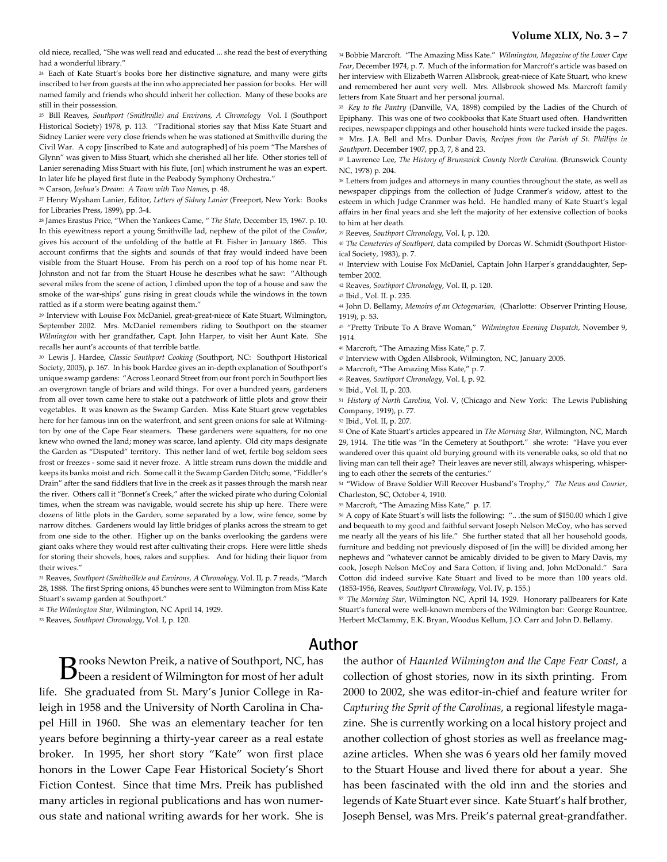old niece, recalled, "She was well read and educated ... she read the best of everything had a wonderful library."

24 Each of Kate Stuart's books bore her distinctive signature, and many were gifts inscribed to her from guests at the inn who appreciated her passion for books. Her will named family and friends who should inherit her collection. Many of these books are still in their possession.

25 Bill Reaves,*Southport (Smithville) and Environs, A Chronology* Vol. I (Southport Historical Society) 1978, p. 113. "Traditional stories say that Miss Kate Stuart and Sidney Lanier were very close friends when he was stationed at Smithville during the Civil War. A copy [inscribed to Kate and autographed] of his poem "The Marshes of Glynn" was given to Miss Stuart, which she cherished all her life. Other stories tell of Lanier serenading Miss Stuart with his flute, [on] which instrument he was an expert. In later life he played first flute in the Peabody Symphony Orchestra."

26Carson,*Joshua's Dream: A Town with Two Names*, p. 48.

27Henry Wysham Lanier, Editor,*Letters of Sidney Lanier* (Freeport, New York: Books for Libraries Press, 1899), pp. 3-4.

28James Erastus Price, "When the Yankees Came, "*The State*, December 15, 1967. p. 10. In this eyewitness report a young Smithville lad, nephew of the pilot of the*Condor*, gives his account of the unfolding of the battle at Ft. Fisher in January 1865. This account confirms that the sights and sounds of that fray would indeed have been visible from the Stuart House. From his perch on a roof top of his home near Ft. Johnston and not far from the Stuart House he describes what he saw: "Although several miles from the scene of action, I climbed upon the top of a house and saw the smoke of the war-ships' guns rising in great clouds while the windows in the town rattled as if a storm were beating against them."

<sup>29</sup> Interview with Louise Fox McDaniel, great-great-niece of Kate Stuart, Wilmington, September 2002. Mrs. McDaniel remembers riding to Southport on the steamer *Wilmington* with her grandfather, Capt. John Harper, to visit her Aunt Kate. She recalls her aunt's accounts of that terrible battle.

30 Lewis J. Hardee,*Classic Southport Cooking* (Southport, NC: Southport Historical Society, 2005), p. 167. In his book Hardee gives an in-depth explanation of Southport's unique swamp gardens: "Across Leonard Street from our front porch in Southport lies an overgrown tangle of briars and wild things. For over a hundred years, gardeners from all over town came here to stake out a patchwork of little plots and grow their vegetables. It was known as the Swamp Garden. Miss Kate Stuart grew vegetables here for her famous inn on the waterfront, and sent green onions for sale at Wilming ton by one of the Cape Fear steamers. These gardeners were squatters, for no one knew who owned the land; money was scarce, land aplenty. Old city maps designate the Garden as "Disputed" territory. This nether land of wet, fertile bog seldom sees frost or freezes - some said it never froze. A little stream runs down the middle and keeps its banks moist and rich. Some call it the Swamp Garden Ditch; some, "Fiddler's Drain" after the sand fiddlers that live in the creek as it passes through the marsh near the river. Others call it "Bonnet's Creek," after the wicked pirate who during Colonial times, when the stream was navigable, would secrete his ship up here. There were dozens of little plots in the Garden, some separated by a low, wire fence, some by narrow ditches. Gardeners would lay little bridges of planks across the stream to get from one side to the other. Higher up on the banks overlooking the gardens were giant oaks where they would rest after cultivating their crops. Here were little sheds for storing their shovels, hoes, rakes and supplies. And for hiding their liquor from their wives."

31Reaves,*Southport (Smithville)e and Environs, A Chronology,*Vol. II, p. 7 reads, "March 28, 1888. The first Spring onions, 45 bunches were sent to Wilmington from Miss Kate Stuart's swamp garden at Southport."

32*The Wilmington Star*, Wilmington, NC April 14, 1929.

33Reaves,*Southport Chronology*, Vol. I, p. 120.

34Bobbie Marcroft. "The Amazing Miss Kate."*Wilmington, Magazine of the Lower Cape Fear*, December 1974, p. 7. Much of the information for Marcroft's article was based on her interview with Elizabeth Warren Allsbrook, great-niece of Kate Stuart, who knew and remembered her aunt very well. Mrs. Allsbrook showed Ms. Marcroft family letters from Kate Stuart and her personal journal.

35 *Key to the Pantry* (Danville, VA, 1898) compiled by the Ladies of the Church of Epiphany. This was one of two cookbooks that Kate Stuart used often. Handwritten recipes, newspaper clippings and other household hints were tucked inside the pages. 36 Mrs. J.A. Bell and Mrs. Dunbar Davis,*Recipes from the Parish of St. Phillips in Southport.* December 1907, pp.3, 7, 8 and 23.

37Lawrence Lee,*The History of Brunswick County North Carolina.* (Brunswick County NC, 1978) p. 204.

38Letters from judges and attorneys in many counties throughout the state, as well as newspaper clippings from the collection of Judge Cranmer's widow, attest to the esteem in which Judge Cranmer was held. He handled many of Kate Stuart's legal affairs in her final years and she left the majority of her extensive collection of books to him at her death.

39Reeves,*Southport Chronology*, Vol. I, p. 120.

40*The Cemeteries of Southport*, data compiled by Dorcas W. Schmidt (Southport Histor ical Society, 1983), p. 7.

41 Interview with Louise Fox McDaniel, Captain John Harper's granddaughter, Sep tember 2002.

42Reaves,*Southport Chronology*, Vol. II, p. 120.

43Ibid., Vol. II. p. 235.

44John D. Bellamy,*Memoirs of an Octogenarian,* (Charlotte: Observer Printing House, 1919), p. 53.

45 "Pretty Tribute To A Brave Woman," *Wilmington Evening Dispatch*, November 9, 1914.

46Marcroft, "The Amazing Miss Kate," p. 7.

47 Interview with Ogden Allsbrook, Wilmington, NC, January 2005.

48Marcroft, "The Amazing Miss Kate," p. 7.

49Reaves,*Southport Chronology*, Vol. I, p. 92.

<sup>50</sup> Ibid., Vol. II, p. 203.

51 *History of North Carolina*, Vol. V, (Chicago and New York: The Lewis Publishing Company, 1919), p. 77.

52Ibid., Vol. II, p. 207.

53One of Kate Stuart's articles appeared in*The Morning Star*, Wilmington, NC, March 29, 1914. The title was "In the Cemetery at Southport." she wrote: "Have you ever wandered over this quaint old burying ground with its venerable oaks, so old that no living man can tell their age? Their leaves are never still, always whispering, whisper ing to each other the secrets of the centuries."

54"Widow of Brave Soldier Will Recover Husband's Trophy,"*The News and Courier*, Charleston, SC, October 4, 1910.

55Marcroft, "The Amazing Miss Kate," p. 17.

56A copy of Kate Stuart's will lists the following: ".. .the sum of \$150.00 which I give and bequeath to my good and faithful servant Joseph Nelson McCoy, who has served me nearly all the years of his life." She further stated that all her household goods, furniture and bedding not previously disposed of [in the will] be divided among her nephews and "whatever cannot be amicably divided to be given to Mary Davis, my cook, Joseph Nelson McCoy and Sara Cotton, if living and, John McDonald." Sara Cotton did indeed survive Kate Stuart and lived to be more than 100 years old. (1853-1956, Reaves,*Southport Chronology*, Vol. IV, p. 155.)

57*The Morning Star*, Wilmington NC, April 14, 1929. Honorary pallbearers for Kate Stuart's funeral were well-known members of the Wilmington bar: George Rountree, Herbert McClammy, E.K. Bryan, Woodus Kellum, J.O. Carr and John D. Bellamy.

## Author

**B** rooks Newton Preik, a native of Southport, NC, has been a resident of Wilmington for most of her adult life. She graduated from St. Mary's Junior College in Ra leigh in 1958 and the University of North Carolina in Cha pel Hill in 1960. She was an elementary teacher for ten years before beginning a thirty-year career as a real estate broker. In 1995, her short story "Kate" won first place honors in the Lower Cape Fear Historical Society's Short Fiction Contest. Since that time Mrs. Preik has published many articles in regional publications and has won numer ous state and national writing awards for her work. She is

the author of*Haunted Wilmington and the Cape Fear Coast,*a collection of ghost stories, now in its sixth printing. From 2000 to 2002, she was editor-in-chief and feature writer for *Capturing the Sprit of the Carolinas*, a regional lifestyle maga zine. She is currently working on a local history project and another collection of ghost stories as well as freelance mag azine articles. When she was 6 years old her family moved to the Stuart House and lived there for about a year. She has been fascinated with the old inn and the stories and legends of Kate Stuart ever since. Kate Stuart's half brother, Joseph Bensel, was Mrs. Preik's paternal great-grandfather.